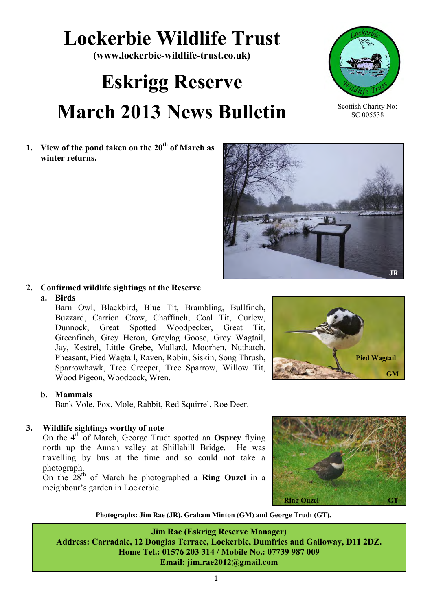### **Lockerbie Wildlife Trust**

**(www.lockerbie-wildlife-trust.co.uk)** 

## **Eskrigg Reserve March 2013 News Bulletin**

**1. View of the pond taken on the 20th of March as winter returns.** 

**2. Confirmed wildlife sightings at the Reserve**

#### **a. Birds**

Barn Owl, Blackbird, Blue Tit, Brambling, Bullfinch, Buzzard, Carrion Crow, Chaffinch, Coal Tit, Curlew, Dunnock, Great Spotted Woodpecker, Great Tit, Greenfinch, Grey Heron, Greylag Goose, Grey Wagtail, Jay, Kestrel, Little Grebe, Mallard, Moorhen, Nuthatch, Pheasant, Pied Wagtail, Raven, Robin, Siskin, Song Thrush, Sparrowhawk, Tree Creeper, Tree Sparrow, Willow Tit, Wood Pigeon, Woodcock, Wren.

#### **b. Mammals**

Bank Vole, Fox, Mole, Rabbit, Red Squirrel, Roe Deer.

#### **3. Wildlife sightings worthy of note**

On the 4th of March, George Trudt spotted an **Osprey** flying north up the Annan valley at Shillahill Bridge. He was travelling by bus at the time and so could not take a photograph.

On the 28th of March he photographed a **Ring Ouzel** in a meighbour's garden in Lockerbie.

**Jim Rae (Eskrigg Reserve Manager) Address: Carradale, 12 Douglas Terrace, Lockerbie, Dumfries and Galloway, D11 2DZ. Home Tel.: 01576 203 314 / Mobile No.: 07739 987 009**

**Photographs: Jim Rae (JR), Graham Minton (GM) and George Trudt (GT).**

**Email: jim.rae2012@gmail.com**









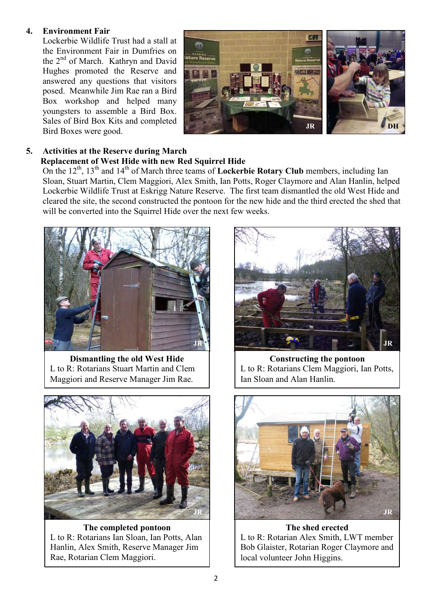#### **4. Environment Fair**

Lockerbie Wildlife Trust had a stall at the Environment Fair in Dumfries on the 2<sup>nd</sup> of March. Kathryn and David Hughes promoted the Reserve and answered any questions that visitors posed. Meanwhile Jim Rae ran a Bird Box workshop and helped many youngsters to assemble a Bird Box. Sales of Bird Box Kits and completed Bird Boxes were good.



#### **5. Activities at the Reserve during March**

#### **Replacement of West Hide with new Red Squirrel Hide**

On the 12<sup>th</sup>, 13<sup>th</sup> and 14<sup>th</sup> of March three teams of **Lockerbie Rotary Club** members, including Ian Sloan, Stuart Martin, Clem Maggiori, Alex Smith, Ian Potts, Roger Claymore and Alan Hanlin, helped Lockerbie Wildlife Trust at Eskrigg Nature Reserve. The first team dismantled the old West Hide and cleared the site, the second constructed the pontoon for the new hide and the third erected the shed that will be converted into the Squirrel Hide over the next few weeks.



**Dismantling the old West Hide** L to R: Rotarians Stuart Martin and Clem Maggiori and Reserve Manager Jim Rae.



**The completed pontoon** L to R: Rotarians Ian Sloan, Ian Potts, Alan Hanlin, Alex Smith, Reserve Manager Jim Rae, Rotarian Clem Maggiori.



**Constructing the pontoon** L to R: Rotarians Clem Maggiori, Ian Potts, Ian Sloan and Alan Hanlin.



**The shed erected** L to R: Rotarian Alex Smith, LWT member Bob Glaister, Rotarian Roger Claymore and local volunteer John Higgins.